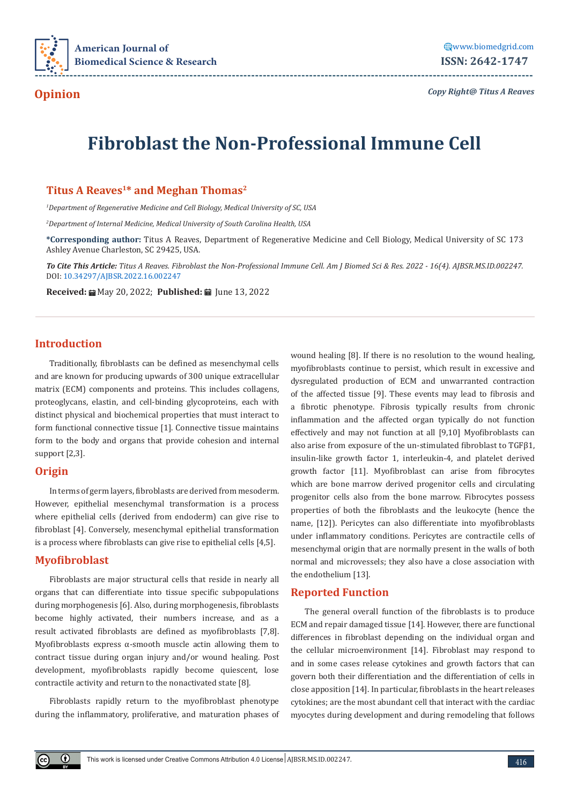

# **Fibroblast the Non-Professional Immune Cell**

**---------------------------------------------------------------------------------------------------------------------------------**

## Titus A Reaves<sup>1\*</sup> and Meghan Thomas<sup>2</sup>

*1 Department of Regenerative Medicine and Cell Biology, Medical University of SC, USA*

*2 Department of Internal Medicine, Medical University of South Carolina Health, USA*

**\*Corresponding author:** Titus A Reaves, Department of Regenerative Medicine and Cell Biology, Medical University of SC 173 Ashley Avenue Charleston, SC 29425, USA.

*To Cite This Article: Titus A Reaves. Fibroblast the Non-Professional Immune Cell. Am J Biomed Sci & Res. 2022 - 16(4). AJBSR.MS.ID.002247.*  DOI: [10.34297/AJBSR.2022.16.002247](http://dx.doi.org/10.34297/AJBSR.2022.16.002247)

**Received:** ■ May 20, 2022; **Published:** ■ June 13, 2022

### **Introduction**

Traditionally, fibroblasts can be defined as mesenchymal cells and are known for producing upwards of 300 unique extracellular matrix (ECM) components and proteins. This includes collagens, proteoglycans, elastin, and cell-binding glycoproteins, each with distinct physical and biochemical properties that must interact to form functional connective tissue [1]. Connective tissue maintains form to the body and organs that provide cohesion and internal support [2,3].

### **Origin**

In terms of germ layers, fibroblasts are derived from mesoderm. However, epithelial mesenchymal transformation is a process where epithelial cells (derived from endoderm) can give rise to fibroblast [4]. Conversely, mesenchymal epithelial transformation is a process where fibroblasts can give rise to epithelial cells [4,5].

### **Myofibroblast**

 $\bigcirc$ 

Fibroblasts are major structural cells that reside in nearly all organs that can differentiate into tissue specific subpopulations during morphogenesis [6]. Also, during morphogenesis, fibroblasts become highly activated, their numbers increase, and as a result activated fibroblasts are defined as myofibroblasts [7,8]. Myofibroblasts express α-smooth muscle actin allowing them to contract tissue during organ injury and/or wound healing. Post development, myofibroblasts rapidly become quiescent, lose contractile activity and return to the nonactivated state [8].

Fibroblasts rapidly return to the myofibroblast phenotype during the inflammatory, proliferative, and maturation phases of wound healing [8]. If there is no resolution to the wound healing, myofibroblasts continue to persist, which result in excessive and dysregulated production of ECM and unwarranted contraction of the affected tissue [9]. These events may lead to fibrosis and a fibrotic phenotype. Fibrosis typically results from chronic inflammation and the affected organ typically do not function effectively and may not function at all [9,10] Myofibroblasts can also arise from exposure of the un-stimulated fibroblast to TGFβ1, insulin-like growth factor 1, interleukin-4, and platelet derived growth factor [11]. Myofibroblast can arise from fibrocytes which are bone marrow derived progenitor cells and circulating progenitor cells also from the bone marrow. Fibrocytes possess properties of both the fibroblasts and the leukocyte (hence the name, [12]). Pericytes can also differentiate into myofibroblasts under inflammatory conditions. Pericytes are contractile cells of mesenchymal origin that are normally present in the walls of both normal and microvessels; they also have a close association with the endothelium [13].

## **Reported Function**

The general overall function of the fibroblasts is to produce ECM and repair damaged tissue [14]. However, there are functional differences in fibroblast depending on the individual organ and the cellular microenvironment [14]. Fibroblast may respond to and in some cases release cytokines and growth factors that can govern both their differentiation and the differentiation of cells in close apposition [14]. In particular, fibroblasts in the heart releases cytokines; are the most abundant cell that interact with the cardiac myocytes during development and during remodeling that follows

This work is licensed under Creative Commons Attribution 4.0 License AIBSR.MS.ID.002247.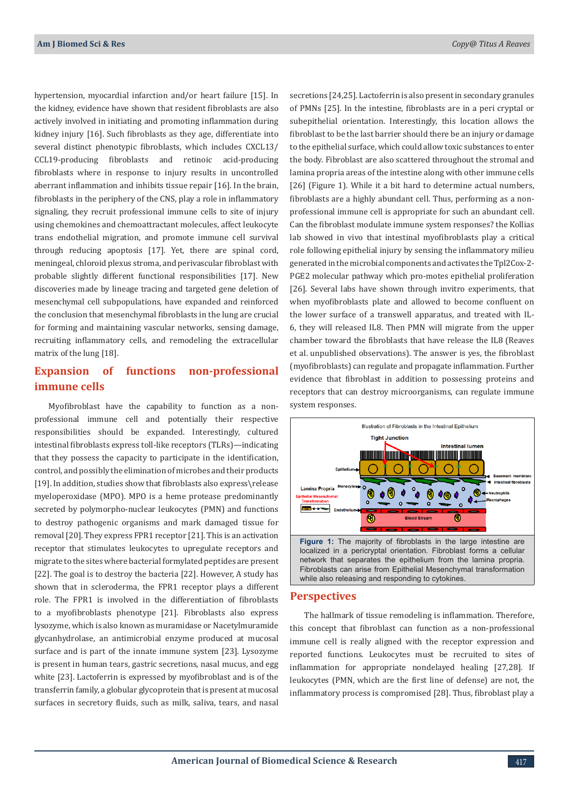hypertension, myocardial infarction and/or heart failure [15]. In the kidney, evidence have shown that resident fibroblasts are also actively involved in initiating and promoting inflammation during kidney injury [16]. Such fibroblasts as they age, differentiate into several distinct phenotypic fibroblasts, which includes CXCL13/ CCL19-producing fibroblasts and retinoic acid-producing fibroblasts where in response to injury results in uncontrolled aberrant inflammation and inhibits tissue repair [16]. In the brain, fibroblasts in the periphery of the CNS, play a role in inflammatory signaling, they recruit professional immune cells to site of injury using chemokines and chemoattractant molecules, affect leukocyte trans endothelial migration, and promote immune cell survival through reducing apoptosis [17]. Yet, there are spinal cord, meningeal, chloroid plexus stroma, and perivascular fibroblast with probable slightly different functional responsibilities [17]. New discoveries made by lineage tracing and targeted gene deletion of mesenchymal cell subpopulations, have expanded and reinforced the conclusion that mesenchymal fibroblasts in the lung are crucial for forming and maintaining vascular networks, sensing damage, recruiting inflammatory cells, and remodeling the extracellular matrix of the lung [18].

# **Expansion of functions non-professional immune cells**

Myofibroblast have the capability to function as a nonprofessional immune cell and potentially their respective responsibilities should be expanded. Interestingly, cultured intestinal fibroblasts express toll-like receptors (TLRs)—indicating that they possess the capacity to participate in the identification, control, and possibly the elimination of microbes and their products [19]. In addition, studies show that fibroblasts also express\release myeloperoxidase (MPO). MPO is a heme protease predominantly secreted by polymorpho-nuclear leukocytes (PMN) and functions to destroy pathogenic organisms and mark damaged tissue for removal [20]. They express FPR1 receptor [21]. This is an activation receptor that stimulates leukocytes to upregulate receptors and migrate to the sites where bacterial formylated peptides are present [22]. The goal is to destroy the bacteria [22]. However, A study has shown that in scleroderma, the FPR1 receptor plays a different role. The FPR1 is involved in the differentiation of fibroblasts to a myofibroblasts phenotype [21]. Fibroblasts also express lysozyme, which is also known as muramidase or Nacetylmuramide glycanhydrolase, an antimicrobial enzyme produced at mucosal surface and is part of the innate immune system [23]. Lysozyme is present in human tears, gastric secretions, nasal mucus, and egg white [23]. Lactoferrin is expressed by myofibroblast and is of the transferrin family, a globular glycoprotein that is present at mucosal surfaces in secretory fluids, such as milk, saliva, tears, and nasal

secretions [24,25]. Lactoferrin is also present in secondary granules of PMNs [25]. In the intestine, fibroblasts are in a peri cryptal or subepithelial orientation. Interestingly, this location allows the fibroblast to be the last barrier should there be an injury or damage to the epithelial surface, which could allow toxic substances to enter the body. Fibroblast are also scattered throughout the stromal and lamina propria areas of the intestine along with other immune cells [26] (Figure 1). While it a bit hard to determine actual numbers, fibroblasts are a highly abundant cell. Thus, performing as a nonprofessional immune cell is appropriate for such an abundant cell. Can the fibroblast modulate immune system responses? the Kollias lab showed in vivo that intestinal myofibroblasts play a critical role following epithelial injury by sensing the inflammatory milieu generated in the microbial components and activates the Tpl2Cox-2- PGE2 molecular pathway which pro-motes epithelial proliferation [26]. Several labs have shown through invitro experiments, that when myofibroblasts plate and allowed to become confluent on the lower surface of a transwell apparatus, and treated with IL-6, they will released IL8. Then PMN will migrate from the upper chamber toward the fibroblasts that have release the IL8 (Reaves et al. unpublished observations). The answer is yes, the fibroblast (myofibroblasts) can regulate and propagate inflammation. Further evidence that fibroblast in addition to possessing proteins and receptors that can destroy microorganisms, can regulate immune system responses.



localized in a pericryptal orientation. Fibroblast forms a cellular network that separates the epithelium from the lamina propria. Fibroblasts can arise from Epithelial Mesenchymal transformation while also releasing and responding to cytokines.

#### **Perspectives**

The hallmark of tissue remodeling is inflammation. Therefore, this concept that fibroblast can function as a non-professional immune cell is really aligned with the receptor expression and reported functions. Leukocytes must be recruited to sites of inflammation for appropriate nondelayed healing [27,28]. If leukocytes (PMN, which are the first line of defense) are not, the inflammatory process is compromised [28]. Thus, fibroblast play a